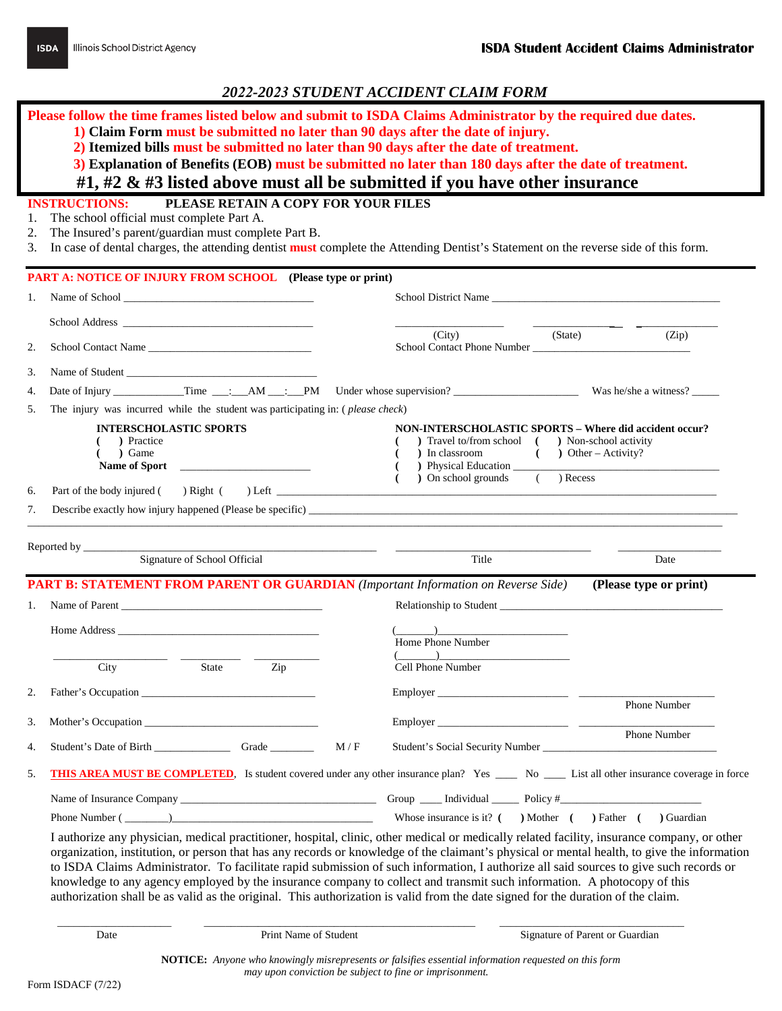**Please follow the time frames listed below and submit to ISDA Claims Administrator by the required due dates.** 

- **1) Claim Form must be submitted no later than 90 days after the date of injury.**
- **2) Itemized bills must be submitted no later than 90 days after the date of treatment.**
- **3) Explanation of Benefits (EOB) must be submitted no later than 180 days after the date of treatment.**

## **#1, #2 & #3 listed above must all be submitted if you have other insurance**

## **INSTRUCTIONS: PLEASE RETAIN A COPY FOR YOUR FILES**

- 1. The school official must complete Part A.
- 2. The Insured's parent/guardian must complete Part B.
- 3. In case of dental charges, the attending dentist **must** complete the Attending Dentist's Statement on the reverse side of this form.

|          | <b>PART A: NOTICE OF INJURY FROM SCHOOL</b> (Please type or print)             |                                                                                                                                                                                                                                                                                            |
|----------|--------------------------------------------------------------------------------|--------------------------------------------------------------------------------------------------------------------------------------------------------------------------------------------------------------------------------------------------------------------------------------------|
| 1.       |                                                                                | School District Name                                                                                                                                                                                                                                                                       |
|          |                                                                                |                                                                                                                                                                                                                                                                                            |
| 2.       | School Contact Name                                                            | (City)<br>(State)<br>(Zip)<br>School Contact Phone Number                                                                                                                                                                                                                                  |
| 3.       | Name of Student                                                                |                                                                                                                                                                                                                                                                                            |
| 4.       |                                                                                |                                                                                                                                                                                                                                                                                            |
| 5.       | The injury was incurred while the student was participating in: (please check) |                                                                                                                                                                                                                                                                                            |
| 6.       | <b>INTERSCHOLASTIC SPORTS</b><br>) Practice<br>) Game<br>Name of Sport         | NON-INTERSCHOLASTIC SPORTS - Where did accident occur?<br>) Travel to/from school ( ) Non-school activity<br>) In classroom<br>$($ $)$ Other – Activity?<br>) Physical Education<br>) On school grounds ( ) Recess<br>- 1                                                                  |
| 7.       |                                                                                | Describe exactly how injury happened (Please be specific)                                                                                                                                                                                                                                  |
|          |                                                                                | <b>PART B: STATEMENT FROM PARENT OR GUARDIAN</b> (Important Information on Reverse Side) (Please type or print)                                                                                                                                                                            |
|          |                                                                                |                                                                                                                                                                                                                                                                                            |
| 1.       | Name of Parent                                                                 | Relationship to Student                                                                                                                                                                                                                                                                    |
|          |                                                                                | $\begin{pmatrix} 1 & 1 \\ 1 & 1 \end{pmatrix}$<br>Home Phone Number                                                                                                                                                                                                                        |
|          | State<br>City<br>Zip                                                           | Cell Phone Number                                                                                                                                                                                                                                                                          |
| 2.       |                                                                                |                                                                                                                                                                                                                                                                                            |
|          |                                                                                | <b>Phone Number</b>                                                                                                                                                                                                                                                                        |
| 3.<br>4. | Mother's Occupation<br>M/F                                                     | Phone Number                                                                                                                                                                                                                                                                               |
| 5.       |                                                                                | <b>THIS AREA MUST BE COMPLETED</b> , Is student covered under any other insurance plan? Yes ____ No ____ List all other insurance coverage in force                                                                                                                                        |
|          |                                                                                |                                                                                                                                                                                                                                                                                            |
|          |                                                                                | Whose insurance is it? $($ $)$ Mother $($ $)$ Father $($ $)$ Guardian                                                                                                                                                                                                                      |
|          |                                                                                | I authorize any physician, medical practitioner, hospital, clinic, other medical or medically related facility, insurance company, or other<br>organization, institution, or person that has any records or knowledge of the claimant's physical or mental health, to give the information |

organization, institution, or person that has any records or knowledge of the claimant's physical or mental health, to give the information to ISDA Claims Administrator. To facilitate rapid submission of such information, I authorize all said sources to give such records or knowledge to any agency employed by the insurance company to collect and transmit such information. A photocopy of this authorization shall be as valid as the original. This authorization is valid from the date signed for the duration of the claim.

\_\_\_\_\_\_\_\_\_\_\_\_\_\_\_\_\_\_\_\_\_ \_\_\_\_\_\_\_\_\_\_\_\_\_\_\_\_\_\_\_\_\_\_\_\_\_\_\_\_\_\_\_\_\_\_\_\_\_\_\_\_\_\_\_\_\_\_\_\_\_\_ \_\_\_\_\_\_\_\_\_\_\_\_\_\_\_\_\_\_\_\_\_\_\_\_\_\_\_\_\_\_\_\_\_\_